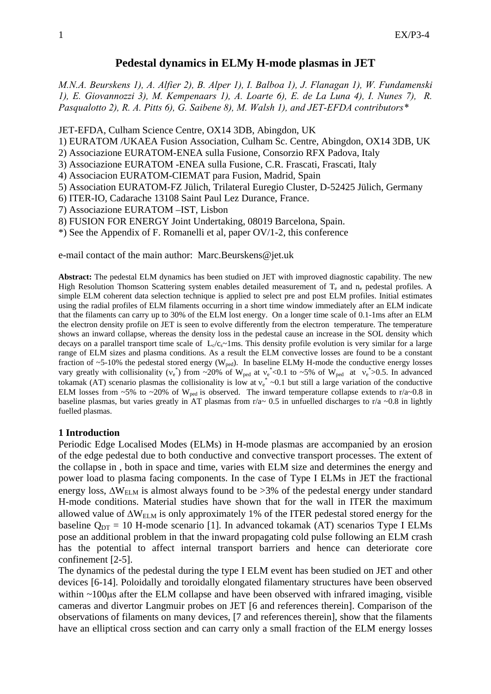# **Pedestal dynamics in ELMy H-mode plasmas in JET**

*M.N.A. Beurskens 1), A. Alfier 2), B. Alper 1), I. Balboa 1), J. Flanagan 1), W. Fundamenski 1), E. Giovannozzi 3), M. Kempenaars 1), A. Loarte 6), E. de La Luna 4), I. Nunes 7), R. Pasqualotto 2), R. A. Pitts 6), G. Saibene 8), M. Walsh 1), and JET-EFDA contributors\** 

JET-EFDA, Culham Science Centre, OX14 3DB, Abingdon, UK

- 1) EURATOM /UKAEA Fusion Association, Culham Sc. Centre, Abingdon, OX14 3DB, UK
- 2) Associazione EURATOM-ENEA sulla Fusione, Consorzio RFX Padova, Italy
- 3) Associazione EURATOM -ENEA sulla Fusione, C.R. Frascati, Frascati, Italy
- 4) Associacion EURATOM-CIEMAT para Fusion, Madrid, Spain
- 5) Association EURATOM-FZ Jülich, Trilateral Euregio Cluster, D-52425 Jülich, Germany
- 6) ITER-IO, Cadarache 13108 Saint Paul Lez Durance, France.
- 7) Associazione EURATOM –IST, Lisbon
- 8) FUSION FOR ENERGY Joint Undertaking, 08019 Barcelona, Spain.

\*) See the Appendix of F. Romanelli et al, paper OV/1-2, this conference

e-mail contact of the main author: Marc.Beurskens@jet.uk

**Abstract:** The pedestal ELM dynamics has been studied on JET with improved diagnostic capability. The new High Resolution Thomson Scattering system enables detailed measurement of  $T_e$  and n<sub>e</sub> pedestal profiles. A simple ELM coherent data selection technique is applied to select pre and post ELM profiles. Initial estimates using the radial profiles of ELM filaments occurring in a short time window immediately after an ELM indicate that the filaments can carry up to 30% of the ELM lost energy. On a longer time scale of 0.1-1ms after an ELM the electron density profile on JET is seen to evolve differently from the electron temperature. The temperature shows an inward collapse, whereas the density loss in the pedestal cause an increase in the SOL density which decays on a parallel transport time scale of  $L_c/c_s \sim 1$ ms. This density profile evolution is very similar for a large range of ELM sizes and plasma conditions. As a result the ELM convective losses are found to be a constant fraction of ~5-10% the pedestal stored energy ( $W_{\text{ped}}$ ). In baseline ELMy H-mode the conductive energy losses vary greatly with collisionality ( $v_e^*$ ) from ~20% of W<sub>ped</sub> at  $v_e^*$  <0.1 to ~5% of W<sub>ped</sub> at  $v_e^*$ >0.5. In advanced tokamak (AT) scenario plasmas the collisionality is low at  $v_e^* \sim 0.1$  but still a large variation of the conductive ELM losses from ~5% to ~20% of W<sub>ped</sub> is observed. The inward temperature collapse extends to r/a~0.8 in baseline plasmas, but varies greatly in AT plasmas from  $r/a \sim 0.5$  in unfuelled discharges to  $r/a \sim 0.8$  in lightly fuelled plasmas.

## **1 Introduction**

Periodic Edge Localised Modes (ELMs) in H-mode plasmas are accompanied by an erosion of the edge pedestal due to both conductive and convective transport processes. The extent of the collapse in , both in space and time, varies with ELM size and determines the energy and power load to plasma facing components. In the case of Type I ELMs in JET the fractional energy loss,  $\Delta W_{\text{ELM}}$  is almost always found to be >3% of the pedestal energy under standard H-mode conditions. Material studies have shown that for the wall in ITER the maximum allowed value of  $\Delta W_{ELM}$  is only approximately 1% of the ITER pedestal stored energy for the baseline  $Q_{DT} = 10$  H-mode scenario [1]. In advanced tokamak (AT) scenarios Type I ELMs pose an additional problem in that the inward propagating cold pulse following an ELM crash has the potential to affect internal transport barriers and hence can deteriorate core confinement [2-5].

The dynamics of the pedestal during the type I ELM event has been studied on JET and other devices [6-14]. Poloidally and toroidally elongated filamentary structures have been observed within ~100 us after the ELM collapse and have been observed with infrared imaging, visible cameras and divertor Langmuir probes on JET [6 and references therein]. Comparison of the observations of filaments on many devices, [7 and references therein], show that the filaments have an elliptical cross section and can carry only a small fraction of the ELM energy losses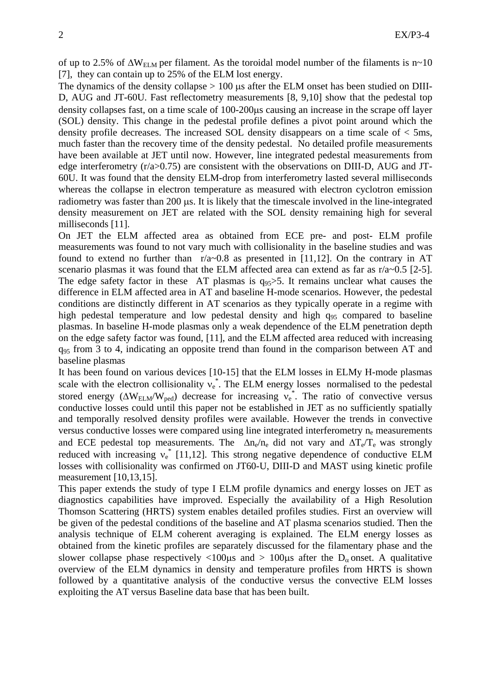of up to 2.5% of  $\Delta W_{\text{ELM}}$  per filament. As the toroidal model number of the filaments is n~10 [7], they can contain up to 25% of the ELM lost energy.

The dynamics of the density collapse  $> 100$  us after the ELM onset has been studied on DIII-D, AUG and JT-60U. Fast reflectometry measurements [8, 9,10] show that the pedestal top density collapses fast, on a time scale of 100-200μs causing an increase in the scrape off layer (SOL) density. This change in the pedestal profile defines a pivot point around which the density profile decreases. The increased SOL density disappears on a time scale of < 5ms, much faster than the recovery time of the density pedestal. No detailed profile measurements have been available at JET until now. However, line integrated pedestal measurements from edge interferometry (r/a>0.75) are consistent with the observations on DIII-D, AUG and JT-60U. It was found that the density ELM-drop from interferometry lasted several milliseconds whereas the collapse in electron temperature as measured with electron cyclotron emission radiometry was faster than 200 μs. It is likely that the timescale involved in the line-integrated density measurement on JET are related with the SOL density remaining high for several milliseconds [11].

On JET the ELM affected area as obtained from ECE pre- and post- ELM profile measurements was found to not vary much with collisionality in the baseline studies and was found to extend no further than  $r/a~0.8$  as presented in [11,12]. On the contrary in AT scenario plasmas it was found that the ELM affected area can extend as far as  $r/a \sim 0.5$  [2-5]. The edge safety factor in these AT plasmas is  $q_{95} > 5$ . It remains unclear what causes the difference in ELM affected area in AT and baseline H-mode scenarios. However, the pedestal conditions are distinctly different in AT scenarios as they typically operate in a regime with high pedestal temperature and low pedestal density and high q<sub>95</sub> compared to baseline plasmas. In baseline H-mode plasmas only a weak dependence of the ELM penetration depth on the edge safety factor was found, [11], and the ELM affected area reduced with increasing  $q_{95}$  from 3 to 4, indicating an opposite trend than found in the comparison between AT and baseline plasmas

It has been found on various devices [10-15] that the ELM losses in ELMy H-mode plasmas scale with the electron collisionality  $v_e^*$ . The ELM energy losses normalised to the pedestal stored energy ( $\Delta W_{\text{ELM}}/W_{\text{ped}}$ ) decrease for increasing  $v_e^*$ . The ratio of convective versus conductive losses could until this paper not be established in JET as no sufficiently spatially and temporally resolved density profiles were available. However the trends in convective versus conductive losses were compared using line integrated interferometry  $n_e$  measurements and ECE pedestal top measurements. The  $\Delta n_e/n_e$  did not vary and  $\Delta T_e/T_e$  was strongly reduced with increasing  $v_e^*$  [11,12]. This strong negative dependence of conductive ELM losses with collisionality was confirmed on JT60-U, DIII-D and MAST using kinetic profile measurement [10,13,15].

This paper extends the study of type I ELM profile dynamics and energy losses on JET as diagnostics capabilities have improved. Especially the availability of a High Resolution Thomson Scattering (HRTS) system enables detailed profiles studies. First an overview will be given of the pedestal conditions of the baseline and AT plasma scenarios studied. Then the analysis technique of ELM coherent averaging is explained. The ELM energy losses as obtained from the kinetic profiles are separately discussed for the filamentary phase and the slower collapse phase respectively  $\langle 100\mu s \rangle$  and  $> 100\mu s$  after the D<sub>a</sub> onset. A qualitative overview of the ELM dynamics in density and temperature profiles from HRTS is shown followed by a quantitative analysis of the conductive versus the convective ELM losses exploiting the AT versus Baseline data base that has been built.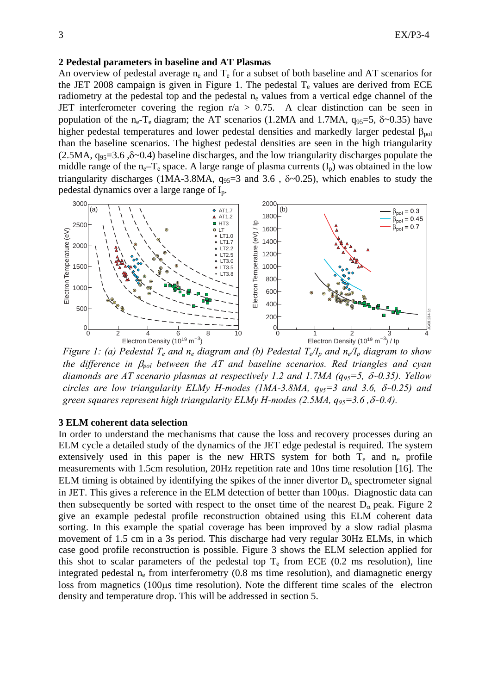## **2 Pedestal parameters in baseline and AT Plasmas**

An overview of pedestal average  $n_e$  and  $T_e$  for a subset of both baseline and AT scenarios for the JET 2008 campaign is given in Figure 1. The pedestal  $T_e$  values are derived from ECE radiometry at the pedestal top and the pedestal  $n_e$  values from a vertical edge channel of the JET interferometer covering the region  $r/a > 0.75$ . A clear distinction can be seen in population of the n<sub>e</sub>-T<sub>e</sub> diagram; the AT scenarios (1.2MA and 1.7MA,  $q_{95}=5$ ,  $\delta \sim 0.35$ ) have higher pedestal temperatures and lower pedestal densities and markedly larger pedestal  $\beta_{\text{pol}}$ than the baseline scenarios. The highest pedestal densities are seen in the high triangularity  $(2.5MA, q<sub>95</sub>=3.6, \delta<sub>0</sub>0.4)$  baseline discharges, and the low triangularity discharges populate the middle range of the n<sub>e</sub>–T<sub>e</sub> space. A large range of plasma currents  $(I_p)$  was obtained in the low triangularity discharges (1MA-3.8MA,  $q_{95}=3$  and 3.6,  $\delta \sim 0.25$ ), which enables to study the pedestal dynamics over a large range of Ip.



*Figure 1: (a) Pedestal T<sub>e</sub> and n<sub>e</sub> diagram and (b) Pedestal T<sub>e</sub>/I<sub>p</sub> and n<sub>e</sub>/I<sub>p</sub> diagram to show the difference in* β*pol between the AT and baseline scenarios. Red triangles and cyan diamonds are AT scenario plasmas at respectively 1.2 and 1.7MA (q95=5,* δ*~0.35). Yellow circles are low triangularity ELMy H-modes (1MA-3.8MA,*  $q_{95}=3$  *and 3.6,*  $\delta$ *-0.25) and green squares represent high triangularity ELMy H-modes (2.5MA, q95=3.6 ,*δ*~0.4).* 

#### **3 ELM coherent data selection**

In order to understand the mechanisms that cause the loss and recovery processes during an ELM cycle a detailed study of the dynamics of the JET edge pedestal is required. The system extensively used in this paper is the new HRTS system for both  $T_e$  and  $n_e$  profile measurements with 1.5cm resolution, 20Hz repetition rate and 10ns time resolution [16]. The ELM timing is obtained by identifying the spikes of the inner divertor  $D_{\alpha}$  spectrometer signal in JET. This gives a reference in the ELM detection of better than 100μs. Diagnostic data can then subsequently be sorted with respect to the onset time of the nearest  $D_{\alpha}$  peak. Figure 2 give an example pedestal profile reconstruction obtained using this ELM coherent data sorting. In this example the spatial coverage has been improved by a slow radial plasma movement of 1.5 cm in a 3s period. This discharge had very regular 30Hz ELMs, in which case good profile reconstruction is possible. Figure 3 shows the ELM selection applied for this shot to scalar parameters of the pedestal top  $T_e$  from ECE (0.2 ms resolution), line integrated pedestal n<sub>e</sub> from interferometry (0.8 ms time resolution), and diamagnetic energy loss from magnetics (100μs time resolution). Note the different time scales of the electron density and temperature drop. This will be addressed in section 5.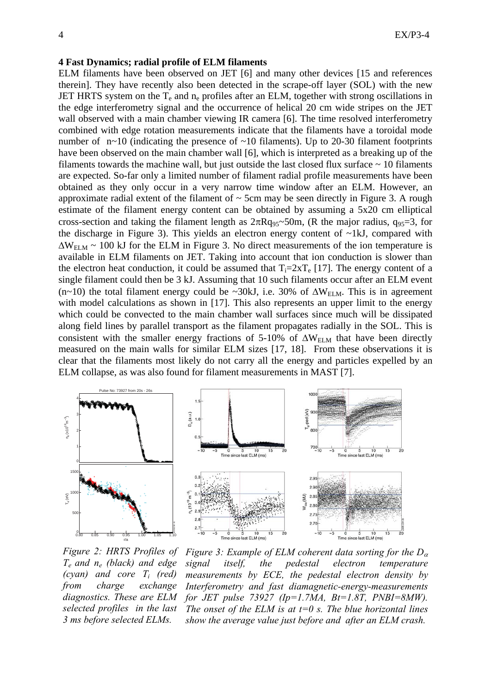#### **4 Fast Dynamics; radial profile of ELM filaments**

ELM filaments have been observed on JET [6] and many other devices [15 and references therein]. They have recently also been detected in the scrape-off layer (SOL) with the new JET HRTS system on the  $T_e$  and  $n_e$  profiles after an ELM, together with strong oscillations in the edge interferometry signal and the occurrence of helical 20 cm wide stripes on the JET wall observed with a main chamber viewing IR camera [6]. The time resolved interferometry combined with edge rotation measurements indicate that the filaments have a toroidal mode number of  $n \sim 10$  (indicating the presence of  $\sim 10$  filaments). Up to 20-30 filament footprints have been observed on the main chamber wall [6], which is interpreted as a breaking up of the filaments towards the machine wall, but just outside the last closed flux surface  $\sim$  10 filaments are expected. So-far only a limited number of filament radial profile measurements have been obtained as they only occur in a very narrow time window after an ELM. However, an approximate radial extent of the filament of  $\sim$  5cm may be seen directly in Figure 3. A rough estimate of the filament energy content can be obtained by assuming a 5x20 cm elliptical cross-section and taking the filament length as  $2\pi Rq_{95}$ ~50m, (R the major radius,  $q_{95}=3$ , for the discharge in Figure 3). This yields an electron energy content of  $\sim$ 1kJ, compared with  $\Delta W_{\text{ELM}} \sim 100$  kJ for the ELM in Figure 3. No direct measurements of the ion temperature is available in ELM filaments on JET. Taking into account that ion conduction is slower than the electron heat conduction, it could be assumed that  $T_i=2xT_e$  [17]. The energy content of a single filament could then be 3 kJ. Assuming that 10 such filaments occur after an ELM event (n~10) the total filament energy could be ~30kJ, i.e. 30% of  $\Delta W_{ELM}$ . This is in agreement with model calculations as shown in [17]. This also represents an upper limit to the energy which could be convected to the main chamber wall surfaces since much will be dissipated along field lines by parallel transport as the filament propagates radially in the SOL. This is consistent with the smaller energy fractions of 5-10% of  $\Delta W_{ELM}$  that have been directly measured on the main walls for similar ELM sizes [17, 18]. From these observations it is clear that the filaments most likely do not carry all the energy and particles expelled by an ELM collapse, as was also found for filament measurements in MAST [7].



*Figure 2: HRTS Profiles of Te and ne (black) and edge (cyan) and core Ti (red) from charge exchange diagnostics. These are ELM selected profiles in the last 3 ms before selected ELMs.* 

*Figure 3: Example of ELM coherent data sorting for the D*<sup>α</sup> *signal itself, the pedestal electron temperature measurements by ECE, the pedestal electron density by Interferometry and fast diamagnetic-energy-measurements for JET pulse 73927 (Ip=1.7MA, Bt=1.8T, PNBI=8MW). The onset of the ELM is at*  $t=0$  *s. The blue horizontal lines show the average value just before and after an ELM crash.*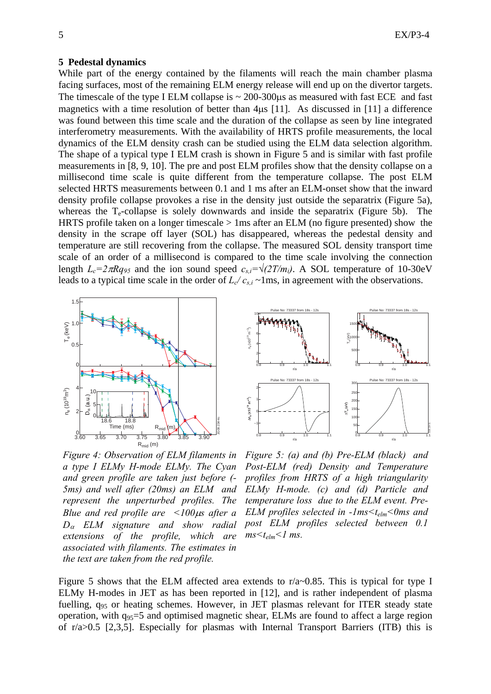#### **5 Pedestal dynamics**

While part of the energy contained by the filaments will reach the main chamber plasma facing surfaces, most of the remaining ELM energy release will end up on the divertor targets. The timescale of the type I ELM collapse is  $\sim$  200-300 us as measured with fast ECE and fast magnetics with a time resolution of better than 4μs [11]. As discussed in [11] a difference was found between this time scale and the duration of the collapse as seen by line integrated interferometry measurements. With the availability of HRTS profile measurements, the local dynamics of the ELM density crash can be studied using the ELM data selection algorithm. The shape of a typical type I ELM crash is shown in Figure 5 and is similar with fast profile measurements in [8, 9, 10]. The pre and post ELM profiles show that the density collapse on a millisecond time scale is quite different from the temperature collapse. The post ELM selected HRTS measurements between 0.1 and 1 ms after an ELM-onset show that the inward density profile collapse provokes a rise in the density just outside the separatrix (Figure 5a), whereas the  $T_e$ -collapse is solely downwards and inside the separatrix (Figure 5b). The HRTS profile taken on a longer timescale  $> 1$  ms after an ELM (no figure presented) show the density in the scrape off layer (SOL) has disappeared, whereas the pedestal density and temperature are still recovering from the collapse. The measured SOL density transport time scale of an order of a millisecond is compared to the time scale involving the connection length  $L_c=2\pi Rq_{95}$  and the ion sound speed  $c_{s,i}=\sqrt{(2T/m_i)}$ . A SOL temperature of 10-30eV leads to a typical time scale in the order of  $L_{c}/c_{s,i} \sim 1$ ms, in agreement with the observations.



Pulse No: 73337 from 18s - 12s Pulse No: 73337 from 18s - 12s 10 8 1500  $n_e$  (x10<sup>19</sup> m<sup>-3</sup>) 6 Te (eV) 1000 4 500 2  $\mathbf 0$ 0 0.8 0.9 1.0 1.1 0.8 0.9 1.0 1.1 r/a r/a Pulse No: 73337 from 18s - 12s Pulse No: 73337 from 18s - 12s 300 2 250  $M_{\alpha}$  (x10<sup>19</sup> m<sup>-3</sup>) 1 200  $NT_*(eV)$ 150  $\mathbf 0$ 100 -1 JG08.234-5c 50 0 0.8 0.9 1.0 1.1 0.8 0.9 1.0 1.1 r/a r/a

*Figure 4: Observation of ELM filaments in a type I ELMy H-mode ELMy. The Cyan and green profile are taken just before (- 5ms) and well after (20ms) an ELM and represent the unperturbed profiles. The Blue and red profile are <100*μ*s after a D*α *ELM signature and show radial extensions of the profile, which are associated with filaments. The estimates in the text are taken from the red profile.* 

*Figure 5: (a) and (b) Pre-ELM (black) and Post-ELM (red) Density and Temperature profiles from HRTS of a high triangularity ELMy H-mode. (c) and (d) Particle and temperature loss due to the ELM event. Pre-ELM profiles selected in -1ms<telm<0ms and post ELM profiles selected between 0.1*   $ms < t_{elm} < 1$  ms.

Figure 5 shows that the ELM affected area extends to r/a~0.85. This is typical for type I ELMy H-modes in JET as has been reported in [12], and is rather independent of plasma fuelling, q95 or heating schemes. However, in JET plasmas relevant for ITER steady state operation, with  $q_{95}=5$  and optimised magnetic shear, ELMs are found to affect a large region of r/a>0.5 [2,3,5]. Especially for plasmas with Internal Transport Barriers (ITB) this is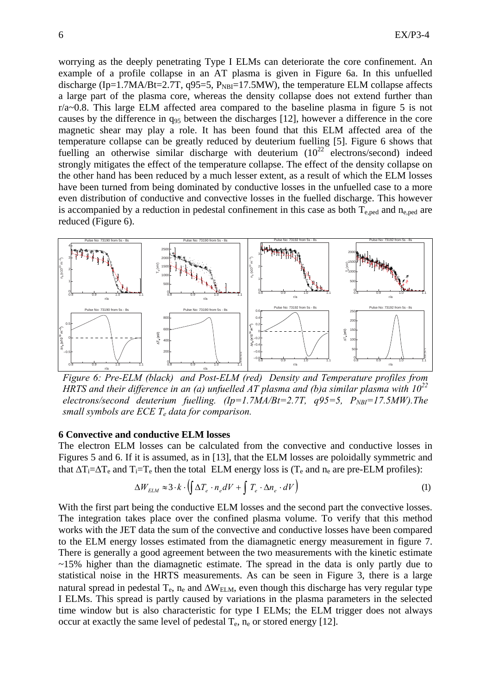worrying as the deeply penetrating Type I ELMs can deteriorate the core confinement. An example of a profile collapse in an AT plasma is given in Figure 6a. In this unfuelled discharge (Ip=1.7MA/Bt=2.7T, q95=5,  $P_{NB}$ =17.5MW), the temperature ELM collapse affects a large part of the plasma core, whereas the density collapse does not extend further than r/a~0.8. This large ELM affected area compared to the baseline plasma in figure 5 is not causes by the difference in  $q_{95}$  between the discharges [12], however a difference in the core magnetic shear may play a role. It has been found that this ELM affected area of the temperature collapse can be greatly reduced by deuterium fuelling [5]. Figure 6 shows that fuelling an otherwise similar discharge with deuterium  $(10^{22} \text{ electrons/second)}$  indeed strongly mitigates the effect of the temperature collapse. The effect of the density collapse on the other hand has been reduced by a much lesser extent, as a result of which the ELM losses have been turned from being dominated by conductive losses in the unfuelled case to a more even distribution of conductive and convective losses in the fuelled discharge. This however is accompanied by a reduction in pedestal confinement in this case as both  $T_{e,ped}$  and  $n_{e,ped}$  are reduced (Figure 6).



*Figure 6: Pre-ELM (black) and Post-ELM (red) Density and Temperature profiles from HRTS and their difference in an (a) unfuelled AT plasma and (b)a similar plasma with*  $10^{22}$ *electrons/second deuterium fuelling.*  $(Ip=1.7MA/Bt=2.7T$ *,*  $q95=5$ *,*  $P_{NBI}=17.5MW$ *).The small symbols are ECE Te data for comparison.* 

#### **6 Convective and conductive ELM losses**

The electron ELM losses can be calculated from the convective and conductive losses in Figures 5 and 6. If it is assumed, as in [13], that the ELM losses are poloidally symmetric and that  $\Delta T_i = \Delta T_e$  and  $T_i = T_e$  then the total ELM energy loss is ( $T_e$  and  $n_e$  are pre-ELM profiles):

$$
\Delta W_{ELM} \approx 3 \cdot k \cdot \left( \int \Delta T_e \cdot n_e dV + \int T_e \cdot \Delta n_e \cdot dV \right) \tag{1}
$$

With the first part being the conductive ELM losses and the second part the convective losses. The integration takes place over the confined plasma volume. To verify that this method works with the JET data the sum of the convective and conductive losses have been compared to the ELM energy losses estimated from the diamagnetic energy measurement in figure 7. There is generally a good agreement between the two measurements with the kinetic estimate  $\sim$ 15% higher than the diamagnetic estimate. The spread in the data is only partly due to statistical noise in the HRTS measurements. As can be seen in Figure 3, there is a large natural spread in pedestal  $T_e$ ,  $n_e$  and  $\Delta W_{ELM}$ , even though this discharge has very regular type I ELMs. This spread is partly caused by variations in the plasma parameters in the selected time window but is also characteristic for type I ELMs; the ELM trigger does not always occur at exactly the same level of pedestal  $T_e$ ,  $n_e$  or stored energy [12].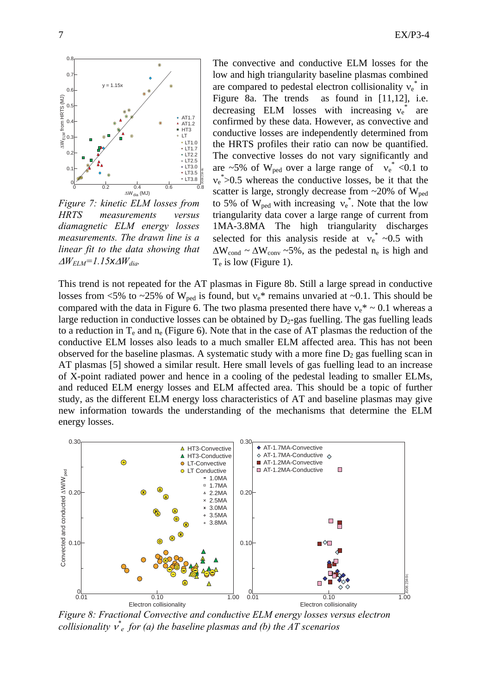

*Figure 7: kinetic ELM losses from HRTS measurements versus diamagnetic ELM energy losses measurements. The drawn line is a linear fit to the data showing that*   $\Delta W_{ELM}$ =1.15*x* $\Delta W_{dia}$ .

The convective and conductive ELM losses for the low and high triangularity baseline plasmas combined are compared to pedestal electron collisionality  $v_e^*$  in Figure 8a. The trends as found in [11,12], i.e. decreasing ELM losses with increasing  $v_e^*$ are confirmed by these data. However, as convective and conductive losses are independently determined from the HRTS profiles their ratio can now be quantified. The convective losses do not vary significantly and are ~5% of W<sub>ped</sub> over a large range of  $v_e^*$  <0.1 to  $v_e$ <sup>\*</sup>>0.5 whereas the conductive losses, be it that the scatter is large, strongly decrease from  $\sim$ 20% of W<sub>ped</sub> to 5% of W<sub>ped</sub> with increasing  $v_e^*$ . Note that the low triangularity data cover a large range of current from 1MA-3.8MA The high triangularity discharges selected for this analysis reside at  $v_e^* \sim 0.5$  with  $\Delta W_{\text{cond}} \sim \Delta W_{\text{conv}} \sim 5\%$ , as the pedestal n<sub>e</sub> is high and  $T_e$  is low (Figure 1).

This trend is not repeated for the AT plasmas in Figure 8b. Still a large spread in conductive losses from <5% to ~25% of W<sub>ped</sub> is found, but  $v_e^*$  remains unvaried at ~0.1. This should be compared with the data in Figure 6. The two plasma presented there have  $v_e^* \sim 0.1$  whereas a large reduction in conductive losses can be obtained by  $D_2$ -gas fuelling. The gas fuelling leads to a reduction in  $T_e$  and  $n_e$  (Figure 6). Note that in the case of AT plasmas the reduction of the conductive ELM losses also leads to a much smaller ELM affected area. This has not been observed for the baseline plasmas. A systematic study with a more fine  $D_2$  gas fuelling scan in AT plasmas [5] showed a similar result. Here small levels of gas fuelling lead to an increase of X-point radiated power and hence in a cooling of the pedestal leading to smaller ELMs, and reduced ELM energy losses and ELM affected area. This should be a topic of further study, as the different ELM energy loss characteristics of AT and baseline plasmas may give new information towards the understanding of the mechanisms that determine the ELM energy losses.



 *Figure 8: Fractional Convective and conductive ELM energy losses versus electron collisionality* <sup>ν</sup> *\* e for (a) the baseline plasmas and (b) the AT scenarios*